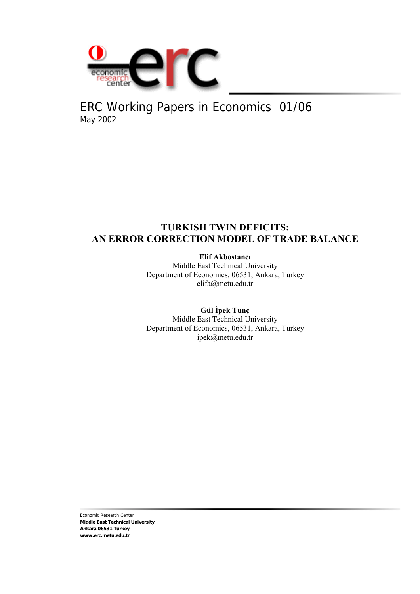

# ERC Working Papers in Economics 01/06 May 2002

## **TURKISH TWIN DEFICITS: AN ERROR CORRECTION MODEL OF TRADE BALANCE**

**Elif Akbostancı**

Middle East Technical University Department of Economics, 06531, Ankara, Turkey elifa@metu.edu.tr

**Gül İpek Tunç** Middle East Technical University Department of Economics, 06531, Ankara, Turkey ipek@metu.edu.tr

Economic Research Center **Middle East Technical University Ankara 06531 Turkey www.erc.metu.edu.tr**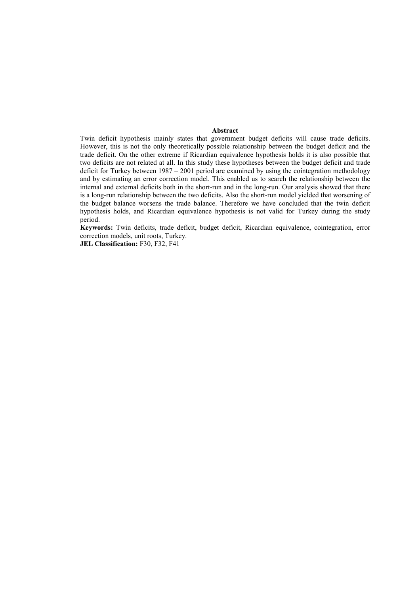#### **Abstract**

Twin deficit hypothesis mainly states that government budget deficits will cause trade deficits. However, this is not the only theoretically possible relationship between the budget deficit and the trade deficit. On the other extreme if Ricardian equivalence hypothesis holds it is also possible that two deficits are not related at all. In this study these hypotheses between the budget deficit and trade deficit for Turkey between 1987 – 2001 period are examined by using the cointegration methodology and by estimating an error correction model. This enabled us to search the relationship between the internal and external deficits both in the short-run and in the long-run. Our analysis showed that there is a long-run relationship between the two deficits. Also the short-run model yielded that worsening of the budget balance worsens the trade balance. Therefore we have concluded that the twin deficit hypothesis holds, and Ricardian equivalence hypothesis is not valid for Turkey during the study period.

**Keywords:** Twin deficits, trade deficit, budget deficit, Ricardian equivalence, cointegration, error correction models, unit roots, Turkey.

**JEL Classification:** F30, F32, F41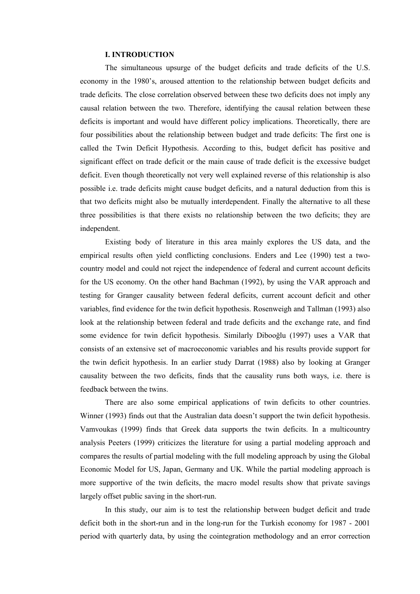## **I. INTRODUCTION**

The simultaneous upsurge of the budget deficits and trade deficits of the U.S. economy in the 1980's, aroused attention to the relationship between budget deficits and trade deficits. The close correlation observed between these two deficits does not imply any causal relation between the two. Therefore, identifying the causal relation between these deficits is important and would have different policy implications. Theoretically, there are four possibilities about the relationship between budget and trade deficits: The first one is called the Twin Deficit Hypothesis. According to this, budget deficit has positive and significant effect on trade deficit or the main cause of trade deficit is the excessive budget deficit. Even though theoretically not very well explained reverse of this relationship is also possible i.e. trade deficits might cause budget deficits, and a natural deduction from this is that two deficits might also be mutually interdependent. Finally the alternative to all these three possibilities is that there exists no relationship between the two deficits; they are independent.

Existing body of literature in this area mainly explores the US data, and the empirical results often yield conflicting conclusions. Enders and Lee (1990) test a twocountry model and could not reject the independence of federal and current account deficits for the US economy. On the other hand Bachman (1992), by using the VAR approach and testing for Granger causality between federal deficits, current account deficit and other variables, find evidence for the twin deficit hypothesis. Rosenweigh and Tallman (1993) also look at the relationship between federal and trade deficits and the exchange rate, and find some evidence for twin deficit hypothesis. Similarly Dibooğlu (1997) uses a VAR that consists of an extensive set of macroeconomic variables and his results provide support for the twin deficit hypothesis. In an earlier study Darrat (1988) also by looking at Granger causality between the two deficits, finds that the causality runs both ways, i.e. there is feedback between the twins.

There are also some empirical applications of twin deficits to other countries. Winner (1993) finds out that the Australian data doesn't support the twin deficit hypothesis. Vamvoukas (1999) finds that Greek data supports the twin deficits. In a multicountry analysis Peeters (1999) criticizes the literature for using a partial modeling approach and compares the results of partial modeling with the full modeling approach by using the Global Economic Model for US, Japan, Germany and UK. While the partial modeling approach is more supportive of the twin deficits, the macro model results show that private savings largely offset public saving in the short-run.

In this study, our aim is to test the relationship between budget deficit and trade deficit both in the short-run and in the long-run for the Turkish economy for 1987 - 2001 period with quarterly data, by using the cointegration methodology and an error correction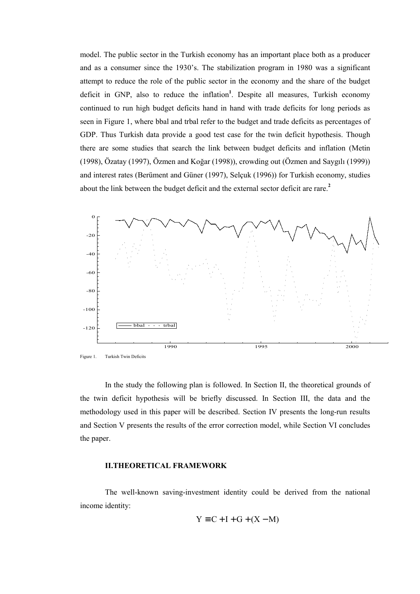model. The public sector in the Turkish economy has an important place both as a producer and as a consumer since the 1930's. The stabilization program in 1980 was a significant attempt to reduce the role of the public sector in the economy and the share of the budget deficit in GNP, also to reduce the inflation<sup>1</sup>. Despite all measures, Turkish economy continued to run high budget deficits hand in hand with trade deficits for long periods as seen in Figure 1, where bbal and trbal refer to the budget and trade deficits as percentages of GDP. Thus Turkish data provide a good test case for the twin deficit hypothesis. Though there are some studies that search the link between budget deficits and inflation (Metin (1998), Özatay (1997), Özmen and Koğar (1998)), crowding out (Özmen and Saygılı (1999)) and interest rates (Berüment and Güner (1997), Selçuk (1996)) for Turkish economy, studies about the link between the budget deficit and the external sector deficit are rare.**<sup>2</sup>**



In the study the following plan is followed. In Section II, the theoretical grounds of the twin deficit hypothesis will be briefly discussed. In Section III, the data and the methodology used in this paper will be described. Section IV presents the long-run results and Section V presents the results of the error correction model, while Section VI concludes the paper.

#### **II.THEORETICAL FRAMEWORK**

The well-known saving-investment identity could be derived from the national income identity:

$$
Y \equiv C + I + G + (X - M)
$$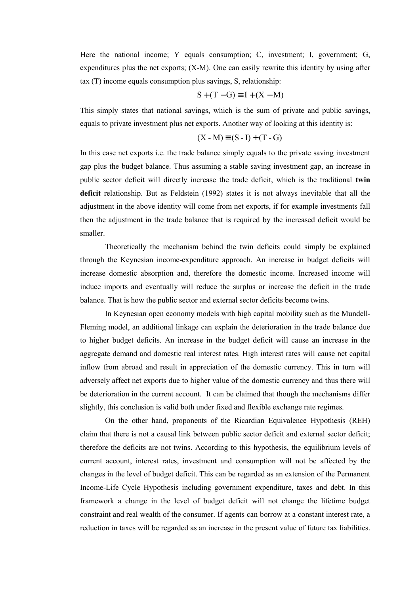Here the national income; Y equals consumption; C, investment; I, government; G, expenditures plus the net exports; (X-M). One can easily rewrite this identity by using after tax (T) income equals consumption plus savings, S, relationship:

$$
S + (T - G) \equiv I + (X - M)
$$

This simply states that national savings, which is the sum of private and public savings, equals to private investment plus net exports. Another way of looking at this identity is:

$$
(X - M) \equiv (S - I) + (T - G)
$$

In this case net exports i.e. the trade balance simply equals to the private saving investment gap plus the budget balance. Thus assuming a stable saving investment gap, an increase in public sector deficit will directly increase the trade deficit, which is the traditional **twin deficit** relationship. But as Feldstein (1992) states it is not always inevitable that all the adjustment in the above identity will come from net exports, if for example investments fall then the adjustment in the trade balance that is required by the increased deficit would be smaller.

Theoretically the mechanism behind the twin deficits could simply be explained through the Keynesian income-expenditure approach. An increase in budget deficits will increase domestic absorption and, therefore the domestic income. Increased income will induce imports and eventually will reduce the surplus or increase the deficit in the trade balance. That is how the public sector and external sector deficits become twins.

In Keynesian open economy models with high capital mobility such as the Mundell-Fleming model, an additional linkage can explain the deterioration in the trade balance due to higher budget deficits. An increase in the budget deficit will cause an increase in the aggregate demand and domestic real interest rates. High interest rates will cause net capital inflow from abroad and result in appreciation of the domestic currency. This in turn will adversely affect net exports due to higher value of the domestic currency and thus there will be deterioration in the current account. It can be claimed that though the mechanisms differ slightly, this conclusion is valid both under fixed and flexible exchange rate regimes.

On the other hand, proponents of the Ricardian Equivalence Hypothesis (REH) claim that there is not a causal link between public sector deficit and external sector deficit; therefore the deficits are not twins. According to this hypothesis, the equilibrium levels of current account, interest rates, investment and consumption will not be affected by the changes in the level of budget deficit. This can be regarded as an extension of the Permanent Income-Life Cycle Hypothesis including government expenditure, taxes and debt. In this framework a change in the level of budget deficit will not change the lifetime budget constraint and real wealth of the consumer. If agents can borrow at a constant interest rate, a reduction in taxes will be regarded as an increase in the present value of future tax liabilities.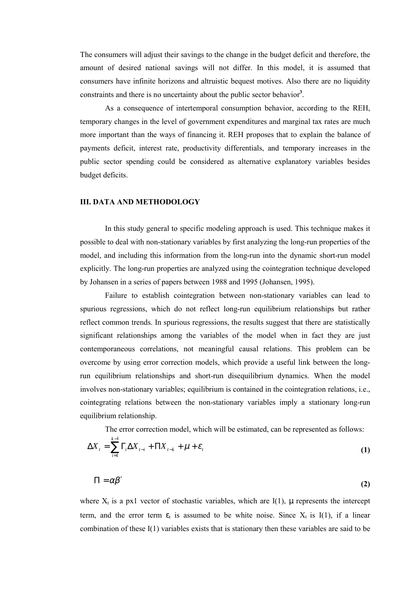The consumers will adjust their savings to the change in the budget deficit and therefore, the amount of desired national savings will not differ. In this model, it is assumed that consumers have infinite horizons and altruistic bequest motives. Also there are no liquidity constraints and there is no uncertainty about the public sector behavior**<sup>3</sup>** .

As a consequence of intertemporal consumption behavior, according to the REH, temporary changes in the level of government expenditures and marginal tax rates are much more important than the ways of financing it. REH proposes that to explain the balance of payments deficit, interest rate, productivity differentials, and temporary increases in the public sector spending could be considered as alternative explanatory variables besides budget deficits.

#### **III. DATA AND METHODOLOGY**

In this study general to specific modeling approach is used. This technique makes it possible to deal with non-stationary variables by first analyzing the long-run properties of the model, and including this information from the long-run into the dynamic short-run model explicitly. The long-run properties are analyzed using the cointegration technique developed by Johansen in a series of papers between 1988 and 1995 (Johansen, 1995).

Failure to establish cointegration between non-stationary variables can lead to spurious regressions, which do not reflect long-run equilibrium relationships but rather reflect common trends. In spurious regressions, the results suggest that there are statistically significant relationships among the variables of the model when in fact they are just contemporaneous correlations, not meaningful causal relations. This problem can be overcome by using error correction models, which provide a useful link between the longrun equilibrium relationships and short-run disequilibrium dynamics. When the model involves non-stationary variables; equilibrium is contained in the cointegration relations, i.e., cointegrating relations between the non-stationary variables imply a stationary long-run equilibrium relationship.

The error correction model, which will be estimated, can be represented as follows:

$$
\Delta X_t = \sum_{i=1}^{k-1} \Gamma_i \Delta X_{t-i} + \Pi X_{t-k} + \mu + \varepsilon_t
$$
\n(1)

$$
\Pi = \alpha \beta' \tag{2}
$$

where  $X_t$  is a px1 vector of stochastic variables, which are I(1),  $\mu$  represents the intercept term, and the error term  $\varepsilon_t$  is assumed to be white noise. Since  $X_t$  is I(1), if a linear combination of these I(1) variables exists that is stationary then these variables are said to be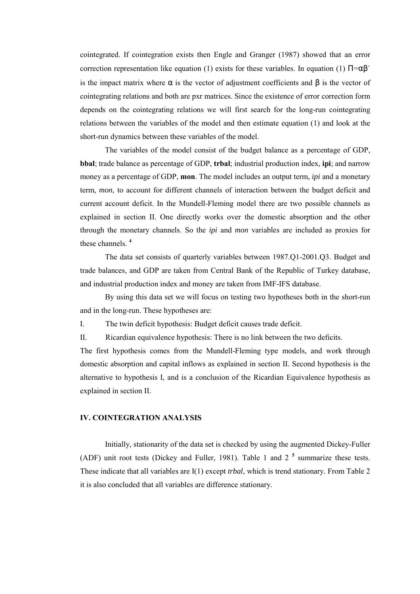cointegrated. If cointegration exists then Engle and Granger (1987) showed that an error correction representation like equation (1) exists for these variables. In equation (1)  $\Pi = \alpha \beta'$ is the impact matrix where  $\alpha$  is the vector of adjustment coefficients and  $\beta$  is the vector of cointegrating relations and both are pxr matrices. Since the existence of error correction form depends on the cointegrating relations we will first search for the long-run cointegrating relations between the variables of the model and then estimate equation (1) and look at the short-run dynamics between these variables of the model.

The variables of the model consist of the budget balance as a percentage of GDP, **bbal**; trade balance as percentage of GDP, **trbal**; industrial production index, **ipi**; and narrow money as a percentage of GDP, **mon**. The model includes an output term, *ipi* and a monetary term, *mon*, to account for different channels of interaction between the budget deficit and current account deficit. In the Mundell-Fleming model there are two possible channels as explained in section II. One directly works over the domestic absorption and the other through the monetary channels. So the *ipi* and *mon* variables are included as proxies for these channels. **<sup>4</sup>**

The data set consists of quarterly variables between 1987.Q1-2001.Q3. Budget and trade balances, and GDP are taken from Central Bank of the Republic of Turkey database, and industrial production index and money are taken from IMF-IFS database.

By using this data set we will focus on testing two hypotheses both in the short-run and in the long-run. These hypotheses are:

I. The twin deficit hypothesis: Budget deficit causes trade deficit.

II. Ricardian equivalence hypothesis: There is no link between the two deficits.

The first hypothesis comes from the Mundell-Fleming type models, and work through domestic absorption and capital inflows as explained in section II. Second hypothesis is the alternative to hypothesis I, and is a conclusion of the Ricardian Equivalence hypothesis as explained in section II.

## **IV. COINTEGRATION ANALYSIS**

Initially, stationarity of the data set is checked by using the augmented Dickey-Fuller (ADF) unit root tests (Dickey and Fuller, 1981). Table 1 and 2 **<sup>5</sup>** summarize these tests. These indicate that all variables are I(1) except *trbal*, which is trend stationary. From Table 2 it is also concluded that all variables are difference stationary.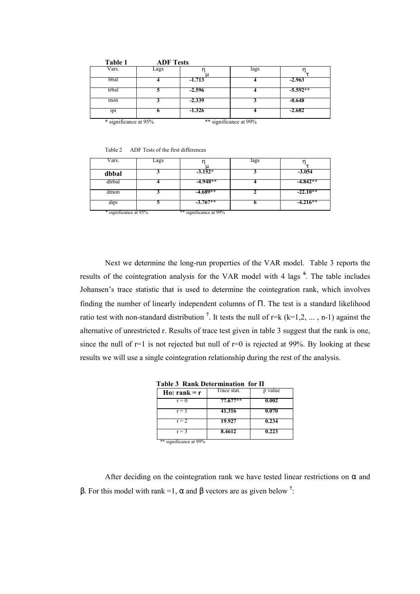| Table 1               | <b>ADF</b> Tests |          |                        |            |
|-----------------------|------------------|----------|------------------------|------------|
| Vars.                 | Lags             |          | lags                   |            |
| bbal                  |                  | $-1.713$ |                        | $-2.963$   |
| trbal                 |                  | $-2.596$ |                        | $-5.592**$ |
| mon                   |                  | $-2.339$ |                        | $-0.648$   |
| 1p <sub>1</sub>       |                  | $-1.326$ |                        | $-2.682$   |
| * significance at 95% |                  |          | ** significance at 99% |            |

Table 2 ADF Tests of the first differences

| Vars.                 | Lags |                        | lags |            |
|-----------------------|------|------------------------|------|------------|
| dbbal                 |      | $-3.152*$              |      | $-3.054$   |
| dtrbal                |      | $-4.948**$             |      | $-4.842**$ |
| dmon                  |      | $-4.689**$             |      | $-22.10**$ |
| dipi                  |      | $-3.767**$             |      | $-4.216**$ |
| * significance at 95% |      | ** significance at 99% |      |            |

Next we determine the long-run properties of the VAR model. Table 3 reports the results of the cointegration analysis for the VAR model with 4 lags **<sup>6</sup>** . The table includes Johansen's trace statistic that is used to determine the cointegration rank, which involves finding the number of linearly independent columns of Π. The test is a standard likelihood ratio test with non-standard distribution<sup>7</sup>. It tests the null of  $r=k$  ( $k=1,2, \ldots, n-1$ ) against the alternative of unrestricted r. Results of trace test given in table 3 suggest that the rank is one, since the null of  $r=1$  is not rejected but null of  $r=0$  is rejected at 99%. By looking at these results we will use a single cointegration relationship during the rest of the analysis.

|  | Table 3 Rank Determination for $\Pi$ |  |  |
|--|--------------------------------------|--|--|
|  |                                      |  |  |

| Ho: rank = $r$         | Trace stat. | p value |
|------------------------|-------------|---------|
| $r = 0$                | $77.677**$  | 0.002   |
| $r = 1$                | 41.316      | 0.070   |
| $r = 2$                | 19.927      | 0.234   |
| $r = 3$                | 8.4612      | 0.223   |
| ** significance at 99% |             |         |

After deciding on the cointegration rank we have tested linear restrictions on  $\alpha$  and β. For this model with rank =1, α and β vectors are as given below **<sup>7</sup>** :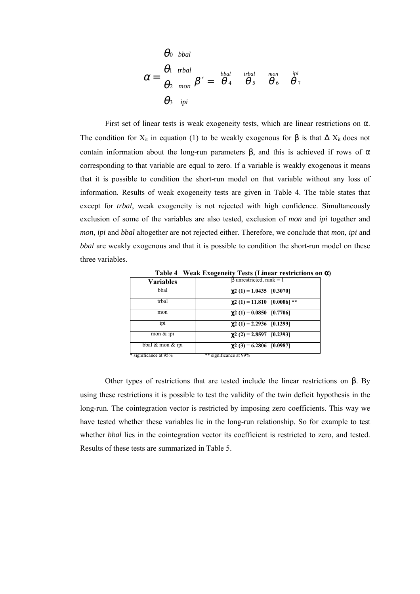$$
\alpha = \begin{bmatrix} \theta_0 \\ \theta_1 \\ \theta_2 \\ \theta_3 \end{bmatrix}^{tcbal}_{ipi} \beta' = \begin{bmatrix} bbal & trbal & mon & ipi \\ \theta_4 & \theta_5 & \theta_6 & \theta_7 \\ \end{bmatrix}
$$

First set of linear tests is weak exogeneity tests, which are linear restrictions on  $\alpha$ . The condition for  $X_{it}$  in equation (1) to be weakly exogenous for  $\beta$  is that  $\Delta X_{it}$  does not contain information about the long-run parameters β, and this is achieved if rows of  $\alpha$ corresponding to that variable are equal to zero. If a variable is weakly exogenous it means that it is possible to condition the short-run model on that variable without any loss of information. Results of weak exogeneity tests are given in Table 4. The table states that except for *trbal*, weak exogeneity is not rejected with high confidence. Simultaneously exclusion of some of the variables are also tested, exclusion of *mon* and *ipi* together and *mon*, *ipi* and *bbal* altogether are not rejected either. Therefore, we conclude that *mon*, *ipi* and *bbal* are weakly exogenous and that it is possible to condition the short-run model on these three variables.

| <b>Variables</b>      | $\beta$ unrestricted, rank = 1    |
|-----------------------|-----------------------------------|
| bbal                  | $\chi$ 2 (1) = 1.0435 [0.3070]    |
| trbal                 | $\chi$ 2 (1) = 11.810 [0.0006] ** |
| mon                   | $\chi$ 2 (1) = 0.0850 [0.7706]    |
| 1p <sub>1</sub>       | $\chi$ 2 (1) = 2.2936 [0.1299]    |
| mon $&$ ipi           | $\gamma$ 2 (2) = 2.8597 [0.2393]  |
| bbal $&$ mon $&$ ipi  | $\gamma$ 2 (3) = 6.2806 [0.0987]  |
| * significance at 95% | ** significance at 99%            |

**Table 4 Weak Exogeneity Tests (Linear restrictions on** α**)**

Other types of restrictions that are tested include the linear restrictions on β. By using these restrictions it is possible to test the validity of the twin deficit hypothesis in the long-run. The cointegration vector is restricted by imposing zero coefficients. This way we have tested whether these variables lie in the long-run relationship. So for example to test whether *bbal* lies in the cointegration vector its coefficient is restricted to zero, and tested. Results of these tests are summarized in Table 5.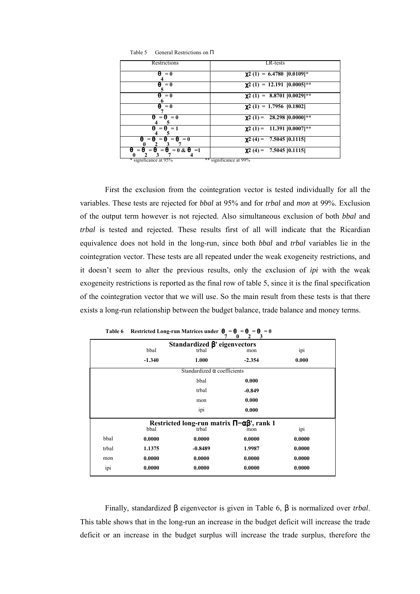| Restrictions                                          | LR-tests                           |
|-------------------------------------------------------|------------------------------------|
| $\theta = 0$                                          | $\chi$ 2 (1) = 6.4780 [0.0109]*    |
| $\theta = 0$                                          | $\chi$ 2 (1) = 12.191 [0.0005]**   |
| $\theta = 0$                                          | $\chi$ 2 (1) = 8.8701 [0.0029]**   |
| $\theta = 0$                                          | $\gamma$ 2 (1) = 1.7956 [0.1802]   |
| $\theta = \theta = 0$                                 | $\gamma$ 2 (1) = 28.298 [0.0000]** |
| $\theta = \theta = 1$                                 | $\chi$ 2 (1) = 11.391 [0.0007]**   |
| $\theta = \theta = \theta = \theta = 0$               | $\gamma$ 2 (4) = 7.5045 [0.1115]   |
| $\theta = \theta = \theta = \theta = 0 \& \theta = 1$ | $\gamma$ 2 (4) = 7.5045 [0.1115]   |
| * significance at 95%                                 | ** significance at 99%             |

Table 5 General Restrictions on Π

First the exclusion from the cointegration vector is tested individually for all the variables. These tests are rejected for *bbal* at 95% and for *trbal* and *mon* at 99%. Exclusion of the output term however is not rejected. Also simultaneous exclusion of both *bbal* and *trbal* is tested and rejected. These results first of all will indicate that the Ricardian equivalence does not hold in the long-run, since both *bbal* and *trbal* variables lie in the cointegration vector. These tests are all repeated under the weak exogeneity restrictions, and it doesn't seem to alter the previous results, only the exclusion of *ipi* with the weak exogeneity restrictions is reported as the final row of table 5, since it is the final specification of the cointegration vector that we will use. So the main result from these tests is that there exists a long-run relationship between the budget balance, trade balance and money terms.

|       |          | 7                                                         | 3<br>0<br>$\mathbf{2}$ |        |
|-------|----------|-----------------------------------------------------------|------------------------|--------|
|       |          | Standardized $\beta$ ' eigenvectors                       |                        |        |
|       | bbal     | trbal                                                     | mon                    | ipi    |
|       | $-1.340$ | 1.000                                                     | $-2.354$               | 0.000  |
|       |          | Standardized $\alpha$ coefficients                        |                        |        |
|       |          | bbal                                                      | 0.000                  |        |
|       |          | trbal                                                     | $-0.849$               |        |
|       |          | mon                                                       | 0.000                  |        |
|       |          | ipi                                                       | 0.000                  |        |
|       |          | Restricted long-run matrix $\Pi = \alpha \beta'$ , rank 1 |                        |        |
|       | bbal     | trbal                                                     | mon                    | ipi    |
| bbal  | 0.0000   | 0.0000                                                    | 0.0000                 | 0.0000 |
| trbal | 1.1375   | $-0.8489$                                                 | 1.9987                 | 0.0000 |
| mon   | 0.0000   | 0.0000                                                    | 0.0000                 | 0.0000 |
| ipi   | 0.0000   | 0.0000                                                    | 0.0000                 | 0.0000 |
|       |          |                                                           |                        |        |

**Table 6** Restricted Long-run Matrices under  $\theta = \theta = \theta = 0$ 

Finally, standardized β eigenvector is given in Table 6, β is normalized over *trbal*. This table shows that in the long-run an increase in the budget deficit will increase the trade deficit or an increase in the budget surplus will increase the trade surplus, therefore the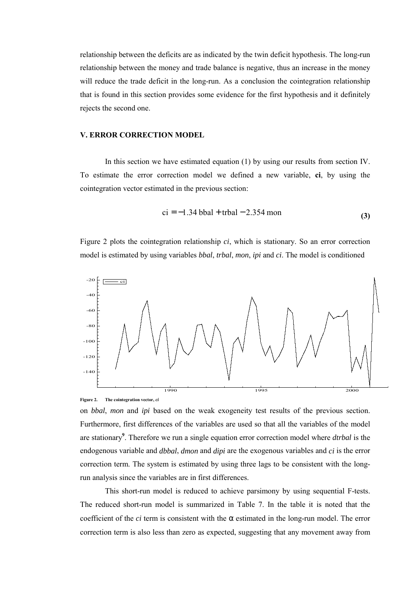relationship between the deficits are as indicated by the twin deficit hypothesis. The long-run relationship between the money and trade balance is negative, thus an increase in the money will reduce the trade deficit in the long-run. As a conclusion the cointegration relationship that is found in this section provides some evidence for the first hypothesis and it definitely rejects the second one.

## **V. ERROR CORRECTION MODEL**

In this section we have estimated equation (1) by using our results from section IV. To estimate the error correction model we defined a new variable, **ci**, by using the cointegration vector estimated in the previous section:

$$
ci = -1.34 \text{ bbal} + \text{trbal} - 2.354 \text{ mon}
$$
 (3)

Figure 2 plots the cointegration relationship *ci*, which is stationary. So an error correction model is estimated by using variables *bbal*, *trbal*, *mon*, *ipi* and *ci*. The model is conditioned





on *bbal*, *mon* and *ipi* based on the weak exogeneity test results of the previous section. Furthermore, first differences of the variables are used so that all the variables of the model are stationary**<sup>9</sup>** . Therefore we run a single equation error correction model where *dtrbal* is the endogenous variable and *dbbal*, *dmon* and *dipi* are the exogenous variables and *ci* is the error correction term. The system is estimated by using three lags to be consistent with the longrun analysis since the variables are in first differences.

This short-run model is reduced to achieve parsimony by using sequential F-tests. The reduced short-run model is summarized in Table 7. In the table it is noted that the coefficient of the *ci* term is consistent with the  $\alpha$  estimated in the long-run model. The error correction term is also less than zero as expected, suggesting that any movement away from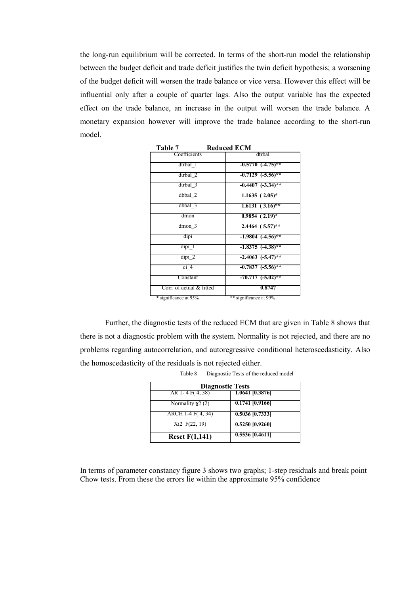the long-run equilibrium will be corrected. In terms of the short-run model the relationship between the budget deficit and trade deficit justifies the twin deficit hypothesis; a worsening of the budget deficit will worsen the trade balance or vice versa. However this effect will be influential only after a couple of quarter lags. Also the output variable has the expected effect on the trade balance, an increase in the output will worsen the trade balance. A monetary expansion however will improve the trade balance according to the short-run model.

| таріе /                  | Regucea e Civi         |
|--------------------------|------------------------|
| Coefficients             | dtrbal                 |
| dtrbal 1                 | $-0.5770$ $(-4.75)$ ** |
| $d$ trbal $2$            | $-0.7129$ $(-5.56)$ ** |
| dtrbal 3                 | $-0.4407$ $(-3.34)$ ** |
| dbbal 2                  | $1.1635(2.05)^{*}$     |
| $dbbal$ 3                | $1.6131(3.16)$ **      |
| dmon                     | $0.9854$ $(2.19)^{*}$  |
| $d$ mon $3$              | $2.4464$ $(5.57)$ **   |
| dipi                     | $-1.9804$ $(-4.56)$ ** |
| dipi 1                   | $-1.8375$ $(-4.38)$ ** |
| $dipi$ 2                 | $-2.4063$ $(-5.47)$ ** |
| ci <sub>4</sub>          | $-0.7837$ $(-5.56)$ ** |
| Constant                 | $-70.717$ $(-5.02)$ ** |
| Corr. of actual & fitted | 0.8747                 |
| * significance at 95%    | ** significance at 99% |

**Table 7 Reduced ECM**

Further, the diagnostic tests of the reduced ECM that are given in Table 8 shows that there is not a diagnostic problem with the system. Normality is not rejected, and there are no problems regarding autocorrelation, and autoregressive conditional heteroscedasticity. Also the homoscedasticity of the residuals is not rejected either.

| <b>Diagnostic Tests</b> |                   |  |  |
|-------------------------|-------------------|--|--|
| AR 1-4 F(4,38)          | 1.0641 [0.3876]   |  |  |
| Normality $\chi$ 2 (2)  | 0.1741 [0.9166]   |  |  |
| ARCH 1-4 F(4, 34)       | $0.5036$ [0.7333] |  |  |
| $Xi$ F(22, 19)          | 0.5250 [0.9260]   |  |  |
| <b>Reset F(1,141)</b>   | $0.5536$ [0.4611] |  |  |

| Table 8 | Diagnostic Tests of the reduced model |  |  |
|---------|---------------------------------------|--|--|
|         |                                       |  |  |

In terms of parameter constancy figure 3 shows two graphs; 1-step residuals and break point Chow tests. From these the errors lie within the approximate 95% confidence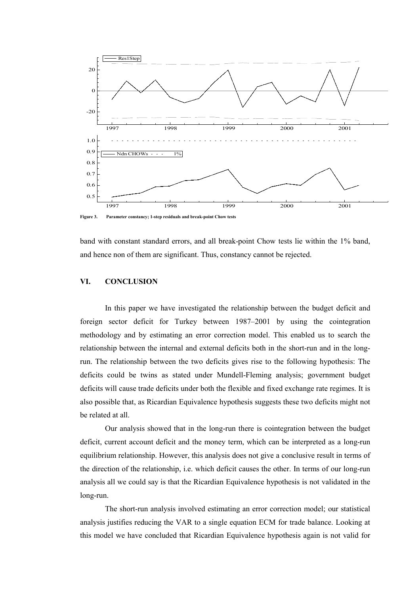

**Figure 3. Parameter constancy; 1-step residuals and break-point Chow tests**

band with constant standard errors, and all break-point Chow tests lie within the 1% band, and hence non of them are significant. Thus, constancy cannot be rejected.

## **VI. CONCLUSION**

In this paper we have investigated the relationship between the budget deficit and foreign sector deficit for Turkey between 1987–2001 by using the cointegration methodology and by estimating an error correction model. This enabled us to search the relationship between the internal and external deficits both in the short-run and in the longrun. The relationship between the two deficits gives rise to the following hypothesis: The deficits could be twins as stated under Mundell-Fleming analysis; government budget deficits will cause trade deficits under both the flexible and fixed exchange rate regimes. It is also possible that, as Ricardian Equivalence hypothesis suggests these two deficits might not be related at all.

Our analysis showed that in the long-run there is cointegration between the budget deficit, current account deficit and the money term, which can be interpreted as a long-run equilibrium relationship. However, this analysis does not give a conclusive result in terms of the direction of the relationship, i.e. which deficit causes the other. In terms of our long-run analysis all we could say is that the Ricardian Equivalence hypothesis is not validated in the long-run.

The short-run analysis involved estimating an error correction model; our statistical analysis justifies reducing the VAR to a single equation ECM for trade balance. Looking at this model we have concluded that Ricardian Equivalence hypothesis again is not valid for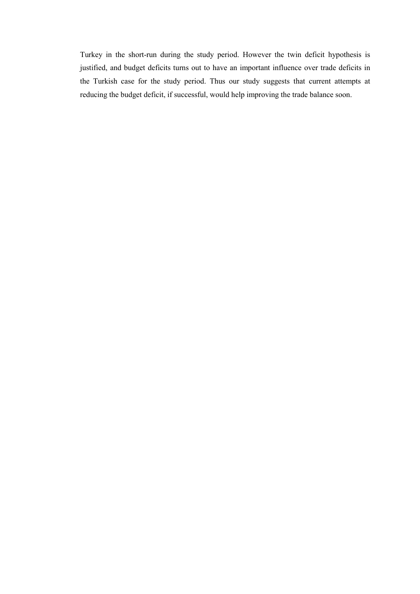Turkey in the short-run during the study period. However the twin deficit hypothesis is justified, and budget deficits turns out to have an important influence over trade deficits in the Turkish case for the study period. Thus our study suggests that current attempts at reducing the budget deficit, if successful, would help improving the trade balance soon.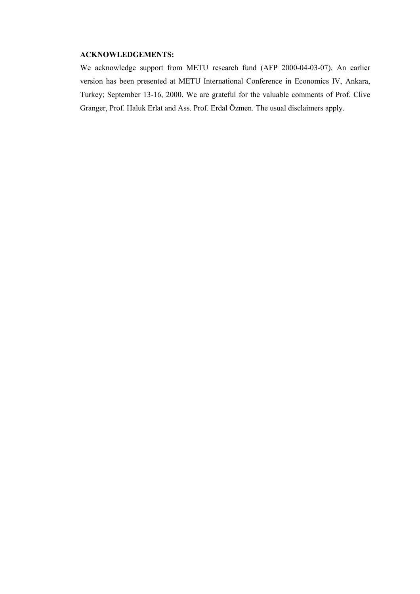## **ACKNOWLEDGEMENTS:**

We acknowledge support from METU research fund (AFP 2000-04-03-07). An earlier version has been presented at METU International Conference in Economics IV, Ankara, Turkey; September 13-16, 2000. We are grateful for the valuable comments of Prof. Clive Granger, Prof. Haluk Erlat and Ass. Prof. Erdal Özmen. The usual disclaimers apply.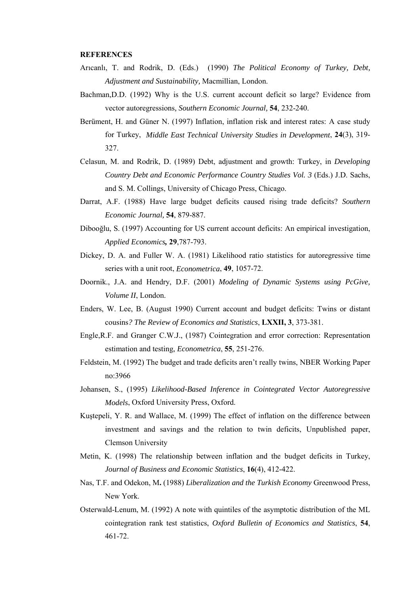#### **REFERENCES**

- Arıcanlı, T. and Rodrik, D. (Eds.) (1990) *The Political Economy of Turkey, Debt, Adjustment and Sustainability,* Macmillian, London.
- Bachman,D.D. (1992) Why is the U.S. current account deficit so large? Evidence from vector autoregressions*, Southern Economic Journal,* **54**, 232-240.
- Berüment, H. and Güner N. (1997) Inflation, inflation risk and interest rates: A case study for Turkey, *Middle East Technical University Studies in Development*, **24**(3), 319- 327.
- Celasun, M. and Rodrik, D. (1989) Debt, adjustment and growth: Turkey, in *Developing Country Debt and Economic Performance Country Studies Vol. 3* (Eds.) J.D. Sachs, and S. M. Collings, University of Chicago Press, Chicago.
- Darrat, A.F. (1988) Have large budget deficits caused rising trade deficits? *Southern Economic Journal,* **54**, 879-887.
- Dibooğlu, S. (1997) Accounting for US current account deficits: An empirical investigation, *Applied Economics,* **29**,787-793.
- Dickey, D. A. and Fuller W. A. (1981) Likelihood ratio statistics for autoregressive time series with a unit root, *Econometrica*, **49**, 1057-72.
- Doornik., J.A. and Hendry, D.F. (2001) *Modeling of Dynamic Systems using PcGive, Volume II*, London.
- Enders, W. Lee, B. (August 1990) Current account and budget deficits: Twins or distant cousins*? The Review of Economics and Statistics*, **LXXII, 3**, 373-381.
- Engle,R.F. and Granger C.W.J., (1987) Cointegration and error correction: Representation estimation and testing, *Econometrica*, **55**, 251-276.
- Feldstein, M. (1992) The budget and trade deficits aren't really twins, NBER Working Paper no:3966
- Johansen, S., (1995) *Likelihood-Based Inference in Cointegrated Vector Autoregressive Models*, Oxford University Press, Oxford.
- Kuştepeli, Y. R. and Wallace, M. (1999) The effect of inflation on the difference between investment and savings and the relation to twin deficits, Unpublished paper, Clemson University
- Metin, K. (1998) The relationship between inflation and the budget deficits in Turkey, *Journal of Business and Economic Statistics*, **16**(4), 412-422.
- Nas, T.F. and Odekon, M**.** (1988) *Liberalization and the Turkish Economy* Greenwood Press, New York.
- Osterwald-Lenum, M. (1992) A note with quintiles of the asymptotic distribution of the ML cointegration rank test statistics, *Oxford Bulletin of Economics and Statistics*, **54**, 461-72.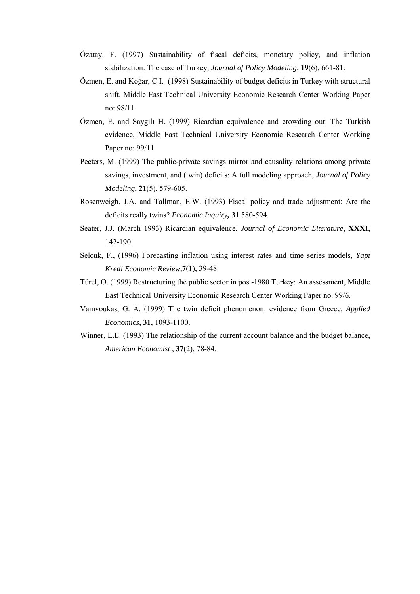- Özatay, F. (1997) Sustainability of fiscal deficits, monetary policy, and inflation stabilization: The case of Turkey, *Journal of Policy Modeling*, **19**(6), 661-81.
- Özmen, E. and Koğar, C.I. (1998) Sustainability of budget deficits in Turkey with structural shift, Middle East Technical University Economic Research Center Working Paper no: 98/11
- Özmen, E. and Saygılı H. (1999) Ricardian equivalence and crowding out: The Turkish evidence, Middle East Technical University Economic Research Center Working Paper no: 99/11
- Peeters, M. (1999) The public-private savings mirror and causality relations among private savings, investment, and (twin) deficits: A full modeling approach, *Journal of Policy Modeling*, **21**(5), 579-605.
- Rosenweigh, J.A. and Tallman, E.W. (1993) Fiscal policy and trade adjustment: Are the deficits really twins? *Economic Inquiry,* **31** 580-594.
- Seater, J.J. (March 1993) Ricardian equivalence, *Journal of Economic Literature*, **XXXI**, 142-190.
- Selçuk, F., (1996) Forecasting inflation using interest rates and time series models, *Yapi Kredi Economic Review*,**7**(1), 39-48.
- Türel, O. (1999) Restructuring the public sector in post-1980 Turkey: An assessment, Middle East Technical University Economic Research Center Working Paper no. 99/6.
- Vamvoukas, G. A. (1999) The twin deficit phenomenon: evidence from Greece, *Applied Economics*, **31**, 1093-1100.
- Winner, L.E. (1993) The relationship of the current account balance and the budget balance, *American Economist* , **37**(2), 78-84.